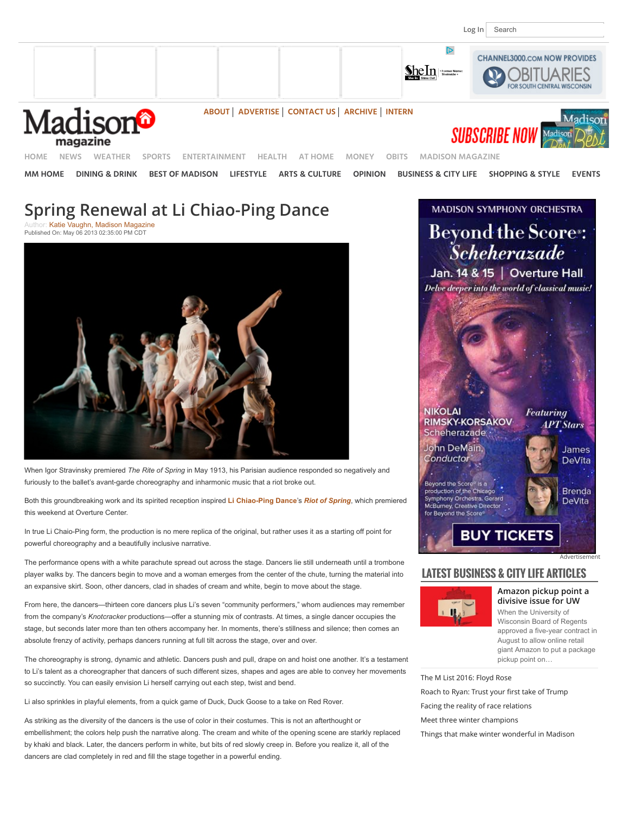



**[HOME](http://www.channel3000.com/) [NEWS](http://www.channel3000.com/news) [WEATHER](http://www.channel3000.com/weather) [SPORTS](http://www.channel3000.com/sports) [ENTERTAINMENT](http://www.channel3000.com/entertainment) [HEALTH](http://www.channel3000.com/health) [AT HOME](http://www.channel3000.com/at-home) [MONEY](http://www.channel3000.com/money) [OBITS](http://www.channel3000.com/obituaries) [MADISON MAGAZINE](http://www.channel3000.com/madison-magazine)**

**[MM HOME](http://www.channel3000.com/madison-magazine) [DINING & DRINK](http://www.channel3000.com/madison-magazine/dining-drink) [BEST OF MADISON](http://www.channel3000.com/madison-magazine/best-of-madison) [LIFESTYLE](http://www.channel3000.com/madison-magazine/home-lifestyle) [ARTS & CULTURE](http://www.channel3000.com/madison-magazine/arts-culture) [OPINION](http://www.channel3000.com/madison-magazine/opinions/37396364) [BUSINESS & CITY LIFE](http://www.channel3000.com/madison-magazine/business-city-life) [SHOPPING & STYLE](http://www.channel3000.com/madison-magazine/shopping-style) [EVENTS](http://www.channel3000.com/madison-magazine/events)**

# **Spring Renewal at Li Chiao-Ping Dance**

[Katie Vaughn, Madison Magazine](http://www.channel3000.com/madison-magazine/arts-culture/29849792) Published On: May 06 2013 02:35:00 PM CDT



When Igor Stravinsky premiered *The Rite of Spring* in May 1913, his Parisian audience responded so negatively and furiously to the ballet's avant-garde choreography and inharmonic music that a riot broke out.

Both this groundbreaking work and its spirited reception inspired **[Li Chiao-Ping Dance](http://www.lichiaopingdance.org/)**'s *[Riot of Spring](http://www.lichiaopingdance.org/index.php/events/riot-of-spring/)*, which premiered this weekend at Overture Center.

In true Li Chaio-Ping form, the production is no mere replica of the original, but rather uses it as a starting off point for powerful choreography and a beautifully inclusive narrative.

The performance opens with a white parachute spread out across the stage. Dancers lie still underneath until a trombone player walks by. The dancers begin to move and a woman emerges from the center of the chute, turning the material into an expansive skirt. Soon, other dancers, clad in shades of cream and white, begin to move about the stage.

From here, the dancers—thirteen core dancers plus Li's seven "community performers," whom audiences may remember from the company's *Knotcracker* productions—offer a stunning mix of contrasts. At times, a single dancer occupies the stage, but seconds later more than ten others accompany her. In moments, there's stillness and silence; then comes an absolute frenzy of activity, perhaps dancers running at full tilt across the stage, over and over.

The choreography is strong, dynamic and athletic. Dancers push and pull, drape on and hoist one another. It's a testament to Li's talent as a choreographer that dancers of such different sizes, shapes and ages are able to convey her movements so succinctly. You can easily envision Li herself carrying out each step, twist and bend.

Li also sprinkles in playful elements, from a quick game of Duck, Duck Goose to a take on Red Rover.

As striking as the diversity of the dancers is the use of color in their costumes. This is not an afterthought or embellishment; the colors help push the narrative along. The cream and white of the opening scene are starkly replaced by khaki and black. Later, the dancers perform in white, but bits of red slowly creep in. Before you realize it, all of the dancers are clad completely in red and fill the stage together in a powerful ending.



# **LATEST BUSINESS & CITY LIFE ARTICLES**



**[Amazon pickup point a](http://www.channel3000.com/madison-magazine/business-city-life/Amazon-pickup-point-a-divisive-issue-for-UW/42488220) divisive issue for UW** When the University of Wisconsin Board of Regents approved a five-year contract in August to allow online retail giant Amazon to put a package pickup point on…

[Advertisement](http://www.channel3000.com/advertise)

[The M List 2016: Floyd Rose](http://www.channel3000.com/madison-magazine/business-city-life/community-spirit-100-black-men/42171314) [Roach to Ryan: Trust your](http://www.channel3000.com/madison-magazine/business-city-life/dear-paul-ryan/42687380) first take of Trump [Facing the reality of race relations](http://www.channel3000.com/madison-magazine/business-city-life/Facing-the-reality-of-race-relations/42488414) [Meet three winter champions](http://www.channel3000.com/madison-magazine/business-city-life/winter-champions/42507356)

[Things that make winter wonderful in Madison](http://www.channel3000.com/madison-magazine/business-city-life/no-wonders-here-about-winter-wonderland/42507254)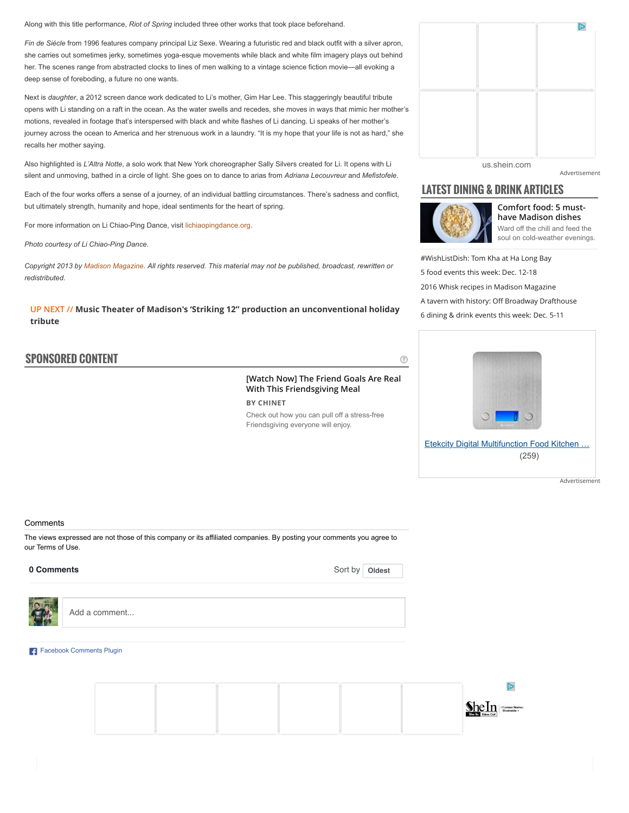Along with this title performance, *Riot of Spring* included three other works that took place beforehand.

*Fin de Siécle* from 1996 features company principal Liz Sexe. Wearing a futuristic red and black outfit with a silver apron, she carries out sometimes jerky, sometimes yoga-esque movements while black and white film imagery plays out behind her. The scenes range from abstracted clocks to lines of men walking to a vintage science fiction movie—all evoking a deep sense of foreboding, a future no one wants.

Next is *daughter*, a 2012 screen dance work dedicated to Li's mother, Gim Har Lee. This staggeringly beautiful tribute opens with Li standing on a raft in the ocean. As the water swells and recedes, she moves in ways that mimic her mother's motions, revealed in footage that's interspersed with black and white flashes of Li dancing. Li speaks of her mother's journey across the ocean to America and her strenuous work in a laundry. "It is my hope that your life is not as hard," she recalls her mother saying.

Also highlighted is *L'Altra Notte*, a solo work that New York choreographer Sally Silvers created for Li. It opens with Li silent and unmoving, bathed in a circle of light. She goes on to dance to arias from *Adriana Lecouvreur* and *Mefistofele*.

Each of the four works offers a sense of a journey, of an individual battling circumstances. There's sadness and conflict, but ultimately strength, humanity and hope, ideal sentiments for the heart of spring.

For more information on Li Chiao-Ping Dance, visit [lichiaopingdance.org.](http://www.lichiaopingdance.org/)

*Photo courtesy of Li Chiao-Ping Dance.*

*Copyright 2013 by [Madison Magazine.](mailto:c3knews@channel3000.com) All rights reserved. This material may not be published, broadcast, rewritten or redistributed.*

**UP NEXT // [Music Theater of Madison's 'Striking 12" production an unconventional holiday](http://www.channel3000.com/madison-magazine/arts-culture/music-theater-of-madisons-striking-12-production-an-unconventional-holiday-tribute/42740332) tribute**

## **SPONSORED CONTENT**

⊘

### **[Watch Now] The Friend Goals Are Real With This Friendsgiving Meal BY CHINET**

Check out how you can pull off a stress-free Friendsgiving everyone will enjoy.



[Advertisement](http://www.channel3000.com/advertise)

## **LATEST DINING & DRINK ARTICLES**



**[Comfort food: 5 must](http://www.channel3000.com/madison-magazine/business-city-life/ward-off-the-chill-feed-the-soul/42510362)have Madison dishes** Ward off the chill and feed the soul on cold-weather evenings.

[#WishListDish: Tom Kha at Ha Long Bay](http://www.channel3000.com/madison-magazine/dining-drink/wishlistdish-tom-kha-at-ha-long-bay/42740246) [5 food events this week: Dec. 12-18](http://www.channel3000.com/madison-magazine/dining-drink/5-food-events-thi/42767538) [2016 Whisk recipes in Madison Magazine](http://www.channel3000.com/madison-magazine/dining-drink/2016-whisk-recipes-in-madison-magazine/42769352) [A tavern with history: O](http://www.channel3000.com/madison-magazine/dining-drink/A-tavern-with-history-Off-Broadway-Drafthouse/42488726)ff Broadway Drafthouse [6 dining & drink events this week: Dec. 5-11](http://www.channel3000.com/madison-magazine/dining-drink/6-dining-drink-events-this-week-dec-511/42693400)



[Etekcity Digital Multifunction Food Kitchen](https://adclick.g.doubleclick.net/aclk?sa=L&ai=C6fEkoDtQWLnXK9TUBfLDo8AM7bfylEaF-PWVZMCNtwEQASAAYMnW2Y38pPgUggEXY2EtcHViLTEzNzAyMzAwOTQ5Njg3NzPIAQmoAwGqBM4BT9BSKiJZuZ72iUE0-Nd47XxeoKX2hqbhCdNiV9dB1o63hPSJpKaCwnxE_4pCbFWEn0nNOUgyjLRgom5SBIQm51HNmHWGl225XMlkiyDkToViDUDZnrlCEeI6TyeU8FoqVil0NveUKUFzuzbzQb5BU7Ns2VwV7lsW27RD-Sd46-GE1ZMqdUIxKbT5CluSUv3em-3EpXvA-LWujP2j7j1PkWVDTbU0zB1pfVzt5YU8GGIW_B54yJzuxS7nf-SvEuCmNrQpNP9bFVLNtV2tskCABprThcyJi_TWzQGgBiGoB6a-G9gHANIIBQiAYRAB&num=1&sig=AOD64_0x-arPvMoggk6iVHpQ_5bzQNskmw&client=ca-pub-1370230094968773&adurl=https://aax-us-pdx.amazon-adsystem.com/x/c/Qug37w-lrcSE08LAasDGG4oAAAFY-WjutwYAAAV4AcO5cOA/http://www.amazon.com/dp/B01HNSRYAK/ref=dra_a_rv_mr_ho_xx_P1400_1000?tag=dradisplay-20&ascsubtag=238838195c7214bccd2138cab6feb8f6_S) … (259)

[Advertisement](http://www.channel3000.com/advertise)

#### **Comments**

The views expressed are not those of this company or its affiliated companies. By posting your comments you agree to our Terms of Use.

#### 0 Comments

Sort by | [Oldest](https://www.facebook.com/plugins/feedback.php?api_key=138069019570371&channel_url=http%3A%2F%2Fstaticxx.facebook.com%2Fconnect%2Fxd_arbiter%2Fr%2F_IDqWBiKXtV.js%3Fversion%3D42%23cb%3Df13141b4e%26domain%3Dwww.channel3000.com%26origin%3Dhttp%253A%252F%252Fwww.channel3000.com%252Ffcc9d6d4%26relation%3Dparent.parent&href=http%3A%2F%2Fwww.channel3000.com%2Fmadison-magazine%2Farts-culture%2FSpring-Renewal-at-Li-Chiao-Ping-Dance%2F30741820&locale=en_US&numposts=4&sdk=joey&version=v2.2&width=652#)



Add a comment...

#### [Facebook Comments Plugin](https://developers.facebook.com/docs/plugins/comments/)